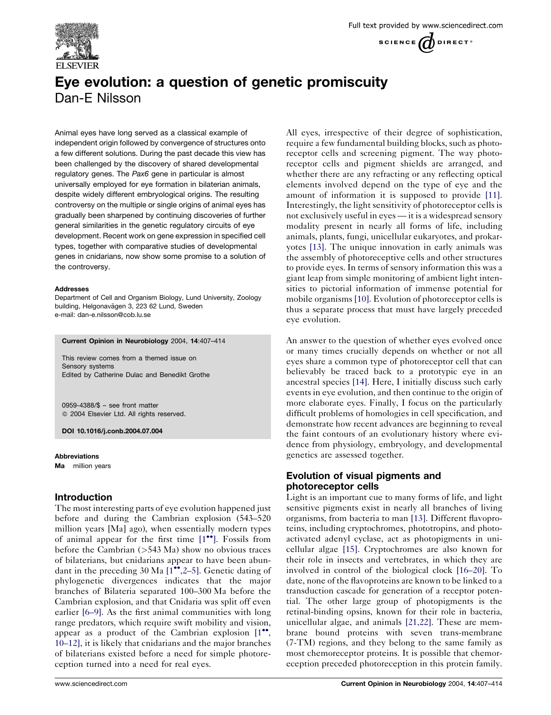



# Eye evolution: a question of genetic promiscuity Dan-E Nilsson

Animal eyes have long served as a classical example of independent origin followed by convergence of structures onto a few different solutions. During the past decade this view has been challenged by the discovery of shared developmental regulatory genes. The Pax6 gene in particular is almost universally employed for eye formation in bilaterian animals, despite widely different embryological origins. The resulting controversy on the multiple or single origins of animal eyes has gradually been sharpened by continuing discoveries of further general similarities in the genetic regulatory circuits of eye development. Recent work on gene expression in specified cell types, together with comparative studies of developmental genes in cnidarians, now show some promise to a solution of the controversy.

#### **Addresses**

Department of Cell and Organism Biology, Lund University, Zoology building, Helgonavägen 3, 223 62 Lund, Sweden e-mail: dan-e.nilsson@cob.lu.se

#### Current Opinion in Neurobiology 2004, 14:407–414

This review comes from a themed issue on Sensory systems Edited by Catherine Dulac and Benedikt Grothe

0959-4388/\$ – see front matter 2004 Elsevier Ltd. All rights reserved.

DOI 10.1016/j.conb.2004.07.004

#### **Abbreviations**

Ma million vears

### **Introduction**

The most interesting parts of eye evolution happened just before and during the Cambrian explosion (543–520 million years [Ma] ago), when essentially modern types of animal appear for the first time  $[1^{\bullet\bullet}]$  $[1^{\bullet\bullet}]$  $[1^{\bullet\bullet}]$ . Fossils from before the Cambrian (>543 Ma) show no obvious traces of bilaterians, but cnidarians appear to have been abundant in the preceding 30 Ma  $[1^{\bullet\bullet},2-5]$  $[1^{\bullet\bullet},2-5]$ . Genetic dating of phylogenetic divergences indicates that the major branches of Bilateria separated 100–300 Ma before the Cambrian explosion, and that Cnidaria was split off even earlier [\[6–9\].](#page-5-0) As the first animal communities with long range predators, which require swift mobility and vision, appear as a product of the Cambrian explosion  $[1^{\bullet\bullet},$  $[1^{\bullet\bullet},$  $[1^{\bullet\bullet},$ [10–12\]](#page-5-0), it is likely that cnidarians and the major branches of bilaterians existed before a need for simple photoreception turned into a need for real eyes.

All eyes, irrespective of their degree of sophistication, require a few fundamental building blocks, such as photoreceptor cells and screening pigment. The way photoreceptor cells and pigment shields are arranged, and whether there are any refracting or any reflecting optical elements involved depend on the type of eye and the amount of information it is supposed to provide [\[11\].](#page-5-0) Interestingly, the light sensitivity of photoreceptor cells is not exclusively useful in eyes — it is a widespread sensory modality present in nearly all forms of life, including animals, plants, fungi, unicellular eukaryotes, and prokaryotes [\[13\].](#page-5-0) The unique innovation in early animals was the assembly of photoreceptive cells and other structures to provide eyes. In terms of sensory information this was a giant leap from simple monitoring of ambient light intensities to pictorial information of immense potential for mobile organisms [\[10\]](#page-5-0). Evolution of photoreceptor cells is thus a separate process that must have largely preceded eye evolution.

An answer to the question of whether eyes evolved once or many times crucially depends on whether or not all eyes share a common type of photoreceptor cell that can believably be traced back to a prototypic eye in an ancestral species [\[14\]](#page-5-0). Here, I initially discuss such early events in eye evolution, and then continue to the origin of more elaborate eyes. Finally, I focus on the particularly difficult problems of homologies in cell specification, and demonstrate how recent advances are beginning to reveal the faint contours of an evolutionary history where evidence from physiology, embryology, and developmental genetics are assessed together.

# Evolution of visual pigments and photoreceptor cells

Light is an important cue to many forms of life, and light sensitive pigments exist in nearly all branches of living organisms, from bacteria to man [\[13\]](#page-5-0). Different flavoproteins, including cryptochromes, phototropins, and photoactivated adenyl cyclase, act as photopigments in unicellular algae [\[15\].](#page-5-0) Cryptochromes are also known for their role in insects and vertebrates, in which they are involved in control of the biological clock [\[16–20\].](#page-5-0) To date, none of the flavoproteins are known to be linked to a transduction cascade for generation of a receptor potential. The other large group of photopigments is the retinal-binding opsins, known for their role in bacteria, unicellular algae, and animals [\[21,22\].](#page-5-0) These are membrane bound proteins with seven trans-membrane (7-TM) regions, and they belong to the same family as most chemoreceptor proteins. It is possible that chemoreception preceded photoreception in this protein family.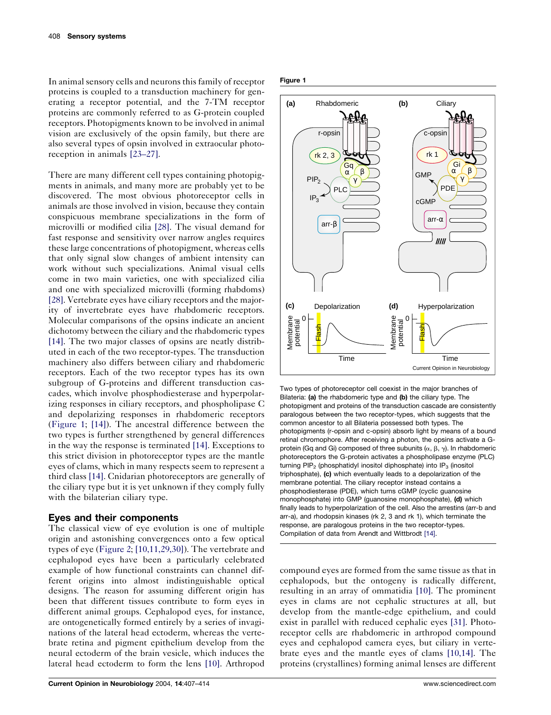In animal sensory cells and neurons this family of receptor proteins is coupled to a transduction machinery for generating a receptor potential, and the 7-TM receptor proteins are commonly referred to as G-protein coupled receptors. Photopigments known to be involved in animal vision are exclusively of the opsin family, but there are also several types of opsin involved in extraocular photoreception in animals [\[23–27\].](#page-5-0)

There are many different cell types containing photopigments in animals, and many more are probably yet to be discovered. The most obvious photoreceptor cells in animals are those involved in vision, because they contain conspicuous membrane specializations in the form of microvilli or modified cilia [\[28\]](#page-5-0). The visual demand for fast response and sensitivity over narrow angles requires these large concentrations of photopigment, whereas cells that only signal slow changes of ambient intensity can work without such specializations. Animal visual cells come in two main varieties, one with specialized cilia and one with specialized microvilli (forming rhabdoms) [\[28\]](#page-5-0). Vertebrate eyes have ciliary receptors and the majority of invertebrate eyes have rhabdomeric receptors. Molecular comparisons of the opsins indicate an ancient dichotomy between the ciliary and the rhabdomeric types [\[14\]](#page-5-0). The two major classes of opsins are neatly distributed in each of the two receptor-types. The transduction machinery also differs between ciliary and rhabdomeric receptors. Each of the two receptor types has its own subgroup of G-proteins and different transduction cascades, which involve phosphodiesterase and hyperpolarizing responses in ciliary receptors, and phospholipase C and depolarizing responses in rhabdomeric receptors (Figure 1; [\[14\]](#page-5-0)). The ancestral difference between the two types is further strengthened by general differences in the way the response is terminated [\[14\].](#page-5-0) Exceptions to this strict division in photoreceptor types are the mantle eyes of clams, which in many respects seem to represent a third class [\[14\]](#page-5-0). Cnidarian photoreceptors are generally of the ciliary type but it is yet unknown if they comply fully with the bilaterian ciliary type.

### Eyes and their components

The classical view of eye evolution is one of multiple origin and astonishing convergences onto a few optical types of eye ([Figure 2;](#page-2-0) [\[10,11,29,30\]](#page-5-0)). The vertebrate and cephalopod eyes have been a particularly celebrated example of how functional constraints can channel different origins into almost indistinguishable optical designs. The reason for assuming different origin has been that different tissues contribute to form eyes in different animal groups. Cephalopod eyes, for instance, are ontogenetically formed entirely by a series of invaginations of the lateral head ectoderm, whereas the vertebrate retina and pigment epithelium develop from the neural ectoderm of the brain vesicle, which induces the lateral head ectoderm to form the lens [\[10\]](#page-5-0). Arthropod



Two types of photoreceptor cell coexist in the major branches of Bilateria: (a) the rhabdomeric type and (b) the ciliary type. The photopigment and proteins of the transduction cascade are consistently paralogous between the two receptor-types, which suggests that the common ancestor to all Bilateria possessed both types. The photopigments (r-opsin and c-opsin) absorb light by means of a bound retinal chromophore. After receiving a photon, the opsins activate a Gprotein (Gq and Gi) composed of three subunits  $(\alpha, \beta, \gamma)$ . In rhabdomeric photoreceptors the G-protein activates a phospholipase enzyme (PLC) turning  $PIP_2$  (phosphatidyl inositol diphosphate) into  $IP_3$  (inositol triphosphate), (c) which eventually leads to a depolarization of the membrane potential. The ciliary receptor instead contains a phosphodiesterase (PDE), which turns cGMP (cyclic guanosine monophosphate) into GMP (guanosine monophosphate), (d) which finally leads to hyperpolarization of the cell. Also the arrestins (arr-b and arr-a), and rhodopsin kinases (rk 2, 3 and rk 1), which terminate the response, are paralogous proteins in the two receptor-types. Compilation of data from Arendt and Wittbrodt [\[14\].](#page-5-0)

compound eyes are formed from the same tissue as that in cephalopods, but the ontogeny is radically different, resulting in an array of ommatidia [\[10\].](#page-5-0) The prominent eyes in clams are not cephalic structures at all, but develop from the mantle-edge epithelium, and could exist in parallel with reduced cephalic eyes [\[31\]](#page-6-0). Photoreceptor cells are rhabdomeric in arthropod compound eyes and cephalopod camera eyes, but ciliary in vertebrate eyes and the mantle eyes of clams [\[10,14\]](#page-5-0). The proteins (crystallines) forming animal lenses are different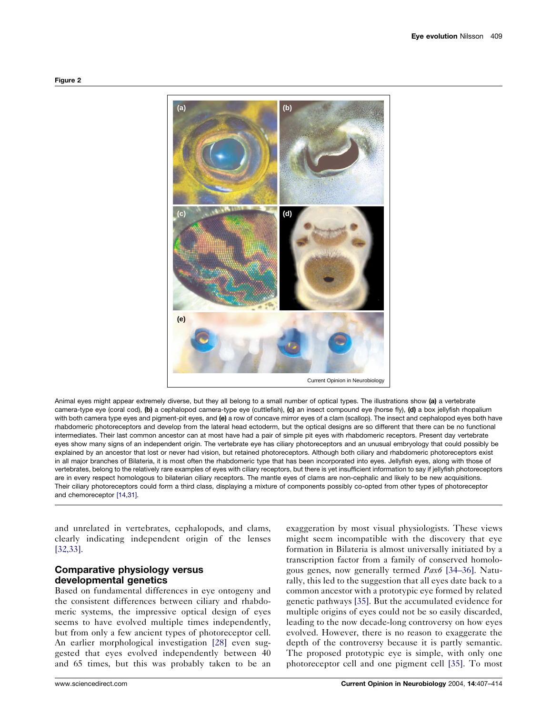<span id="page-2-0"></span>

Animal eyes might appear extremely diverse, but they all belong to a small number of optical types. The illustrations show (a) a vertebrate camera-type eye (coral cod), (b) a cephalopod camera-type eye (cuttlefish), (c) an insect compound eye (horse fly), (d) a box jellyfish rhopalium with both camera type eyes and pigment-pit eyes, and (e) a row of concave mirror eyes of a clam (scallop). The insect and cephalopod eyes both have rhabdomeric photoreceptors and develop from the lateral head ectoderm, but the optical designs are so different that there can be no functional intermediates. Their last common ancestor can at most have had a pair of simple pit eyes with rhabdomeric receptors. Present day vertebrate eyes show many signs of an independent origin. The vertebrate eye has ciliary photoreceptors and an unusual embryology that could possibly be explained by an ancestor that lost or never had vision, but retained photoreceptors. Although both ciliary and rhabdomeric photoreceptors exist in all major branches of Bilateria, it is most often the rhabdomeric type that has been incorporated into eyes. Jellyfish eyes, along with those of vertebrates, belong to the relatively rare examples of eyes with ciliary receptors, but there is yet insufficient information to say if jellyfish photoreceptors are in every respect homologous to bilaterian ciliary receptors. The mantle eyes of clams are non-cephalic and likely to be new acquisitions. Their ciliary photoreceptors could form a third class, displaying a mixture of components possibly co-opted from other types of photoreceptor and chemoreceptor [\[14,31\]](#page-5-0).

and unrelated in vertebrates, cephalopods, and clams, clearly indicating independent origin of the lenses [\[32,33\]](#page-6-0).

## Comparative physiology versus developmental genetics

Based on fundamental differences in eye ontogeny and the consistent differences between ciliary and rhabdomeric systems, the impressive optical design of eyes seems to have evolved multiple times independently, but from only a few ancient types of photoreceptor cell. An earlier morphological investigation [\[28\]](#page-5-0) even suggested that eyes evolved independently between 40 and 65 times, but this was probably taken to be an

might seem incompatible with the discovery that eye formation in Bilateria is almost universally initiated by a transcription factor from a family of conserved homologous genes, now generally termed Pax6 [\[34–36\]](#page-6-0). Naturally, this led to the suggestion that all eyes date back to a common ancestor with a prototypic eye formed by related genetic pathways [\[35\]](#page-6-0). But the accumulated evidence for multiple origins of eyes could not be so easily discarded, leading to the now decade-long controversy on how eyes evolved. However, there is no reason to exaggerate the depth of the controversy because it is partly semantic. The proposed prototypic eye is simple, with only one photoreceptor cell and one pigment cell [\[35\].](#page-6-0) To most

exaggeration by most visual physiologists. These views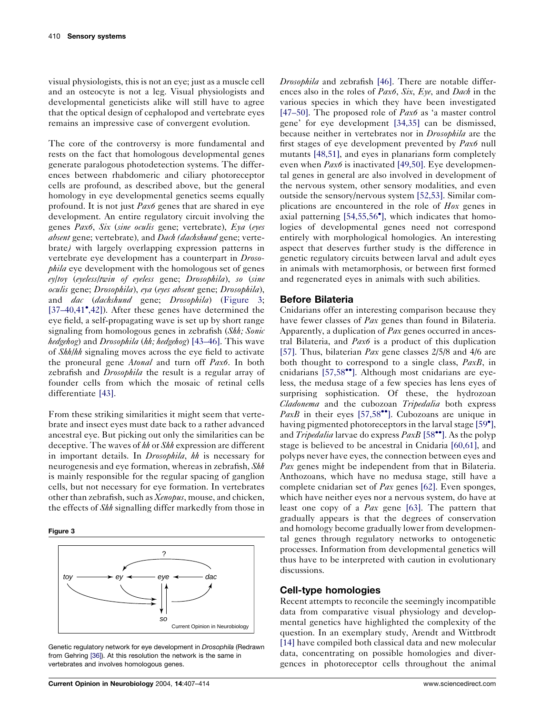<span id="page-3-0"></span>visual physiologists, this is not an eye; just as a muscle cell and an osteocyte is not a leg. Visual physiologists and developmental geneticists alike will still have to agree that the optical design of cephalopod and vertebrate eyes remains an impressive case of convergent evolution.

The core of the controversy is more fundamental and rests on the fact that homologous developmental genes generate paralogous photodetection systems. The differences between rhabdomeric and ciliary photoreceptor cells are profound, as described above, but the general homology in eye developmental genetics seems equally profound. It is not just Pax6 genes that are shared in eye development. An entire regulatory circuit involving the genes Pax6, Six (sine oculis gene; vertebrate), Eya (eyes absent gene; vertebrate), and Dach (dachshund gene; vertebrate) with largely overlapping expression patterns in vertebrate eye development has a counterpart in Droso*phila* eye development with the homologous set of genes ey/toy (eyeless/twin of eyeless gene; Drosophila), so (sine oculis gene; Drosophila), eya (eyes absent gene; Drosophila), and *dac* (*dachshund* gene; *Drosophila*) (Figure 3; [37-40,41<sup>\*</sup>[,42\]](#page-6-0)). After these genes have determined the eye field, a self-propagating wave is set up by short range signaling from homologous genes in zebrafish (Shh; Sonic hedgehog) and Drosophila (hh; hedgehog) [\[43–46\].](#page-6-0) This wave of Shh/hh signaling moves across the eye field to activate the proneural gene Atonal and turn off Pax6. In both zebrafish and Drosophila the result is a regular array of founder cells from which the mosaic of retinal cells differentiate [\[43\].](#page-6-0)

From these striking similarities it might seem that vertebrate and insect eyes must date back to a rather advanced ancestral eye. But picking out only the similarities can be deceptive. The waves of hh or Shh expression are different in important details. In Drosophila, hh is necessary for neurogenesis and eye formation, whereas in zebrafish, Shh is mainly responsible for the regular spacing of ganglion cells, but not necessary for eye formation. In vertebrates other than zebrafish, such as Xenopus, mouse, and chicken, the effects of Shh signalling differ markedly from those in

Figure 3



Genetic regulatory network for eye development in Drosophila (Redrawn from Gehring [\[36\]\)](#page-6-0). At this resolution the network is the same in vertebrates and involves homologous genes.

Drosophila and zebrafish [\[46\].](#page-6-0) There are notable differences also in the roles of Pax6, Six, Eye, and Dach in the various species in which they have been investigated [\[47–50\].](#page-6-0) The proposed role of *Pax6* as 'a master control gene' for eye development [\[34,35\]](#page-6-0) can be dismissed, because neither in vertebrates nor in Drosophila are the first stages of eye development prevented by Pax6 null mutants [\[48,51\],](#page-6-0) and eyes in planarians form completely even when *Pax6* is inactivated [\[49,50\].](#page-6-0) Eye developmental genes in general are also involved in development of the nervous system, other sensory modalities, and even outside the sensory/nervous system [\[52,53\]](#page-6-0). Similar complications are encountered in the role of Hox genes in axial patterning [\[54,55,56](#page-6-0) [\]](#page-6-0), which indicates that homologies of developmental genes need not correspond entirely with morphological homologies. An interesting aspect that deserves further study is the difference in genetic regulatory circuits between larval and adult eyes in animals with metamorphosis, or between first formed and regenerated eyes in animals with such abilities.

# Before Bilateria

Cnidarians offer an interesting comparison because they have fewer classes of *Pax* genes than found in Bilateria. Apparently, a duplication of Pax genes occurred in ancestral Bilateria, and Pax6 is a product of this duplication [\[57\].](#page-6-0) Thus, bilaterian *Pax* gene classes 2/5/8 and 4/6 are both thought to correspond to a single class, *PaxB*, in cnidarians  $[57,58\degree]$  $[57,58\degree]$ . Although most cnidarians are eyeless, the medusa stage of a few species has lens eyes of surprising sophistication. Of these, the hydrozoan Cladonema and the cubozoan Tripedalia both express *PaxB* in their eyes  $[57,58$ <sup>\*\*</sup>[\]](#page-6-0). Cubozoans are unique in having pigmented photoreceptors in the larval stage [\[59](#page-6-0)°[\],](#page-6-0) and *Tripedalia* larvae do express  $PaxB$  [\[58](#page-6-0)<sup> $\bullet$ </sup>[\]](#page-6-0). As the polyp stage is believed to be ancestral in Cnidaria [\[60,61\]](#page-6-0), and polyps never have eyes, the connection between eyes and Pax genes might be independent from that in Bilateria. Anthozoans, which have no medusa stage, still have a complete cnidarian set of Pax genes [\[62\]](#page-6-0). Even sponges, which have neither eyes nor a nervous system, do have at least one copy of a Pax gene [\[63\].](#page-6-0) The pattern that gradually appears is that the degrees of conservation and homology become gradually lower from developmental genes through regulatory networks to ontogenetic processes. Information from developmental genetics will thus have to be interpreted with caution in evolutionary discussions.

# Cell-type homologies

Recent attempts to reconcile the seemingly incompatible data from comparative visual physiology and developmental genetics have highlighted the complexity of the question. In an exemplary study, Arendt and Wittbrodt [\[14\]](#page-5-0) have compiled both classical data and new molecular data, concentrating on possible homologies and divergences in photoreceptor cells throughout the animal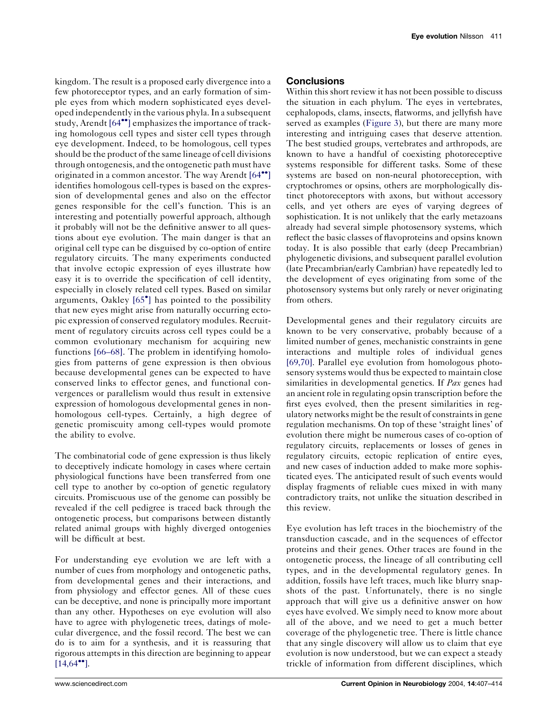kingdom. The result is a proposed early divergence into a few photoreceptor types, and an early formation of simple eyes from which modern sophisticated eyes developed independently in the various phyla. In a subsequent study, Arendt  $[64^{\bullet\bullet}]$  $[64^{\bullet\bullet}]$  $[64^{\bullet\bullet}]$  emphasizes the importance of tracking homologous cell types and sister cell types through eye development. Indeed, to be homologous, cell types should be the product of the same lineage of cell divisions through ontogenesis, and the ontogenetic path must have originated in a common ancestor. The way Arendt  $[64^{\bullet\bullet}]$  $[64^{\bullet\bullet}]$  $[64^{\bullet\bullet}]$ identifies homologous cell-types is based on the expression of developmental genes and also on the effector genes responsible for the cell's function. This is an interesting and potentially powerful approach, although it probably will not be the definitive answer to all questions about eye evolution. The main danger is that an original cell type can be disguised by co-option of entire regulatory circuits. The many experiments conducted that involve ectopic expression of eyes illustrate how easy it is to override the specification of cell identity, especially in closely related cell types. Based on similar arguments, Oakley [\[65](#page-6-0) [\]](#page-6-0) has pointed to the possibility that new eyes might arise from naturally occurring ectopic expression of conserved regulatory modules. Recruitment of regulatory circuits across cell types could be a common evolutionary mechanism for acquiring new functions [\[66–68\].](#page-7-0) The problem in identifying homologies from patterns of gene expression is then obvious because developmental genes can be expected to have conserved links to effector genes, and functional convergences or parallelism would thus result in extensive expression of homologous developmental genes in nonhomologous cell-types. Certainly, a high degree of genetic promiscuity among cell-types would promote the ability to evolve.

The combinatorial code of gene expression is thus likely to deceptively indicate homology in cases where certain physiological functions have been transferred from one cell type to another by co-option of genetic regulatory circuits. Promiscuous use of the genome can possibly be revealed if the cell pedigree is traced back through the ontogenetic process, but comparisons between distantly related animal groups with highly diverged ontogenies will be difficult at best.

For understanding eye evolution we are left with a number of cues from morphology and ontogenetic paths, from developmental genes and their interactions, and from physiology and effector genes. All of these cues can be deceptive, and none is principally more important than any other. Hypotheses on eye evolution will also have to agree with phylogenetic trees, datings of molecular divergence, and the fossil record. The best we can do is to aim for a synthesis, and it is reassuring that rigorous attempts in this direction are beginning to appear  $[14,64$ <sup>...</sup>[\].](#page-5-0)

# **Conclusions**

Within this short review it has not been possible to discuss the situation in each phylum. The eyes in vertebrates, cephalopods, clams, insects, flatworms, and jellyfish have served as examples ([Figure 3\)](#page-3-0), but there are many more interesting and intriguing cases that deserve attention. The best studied groups, vertebrates and arthropods, are known to have a handful of coexisting photoreceptive systems responsible for different tasks. Some of these systems are based on non-neural photoreception, with cryptochromes or opsins, others are morphologically distinct photoreceptors with axons, but without accessory cells, and yet others are eyes of varying degrees of sophistication. It is not unlikely that the early metazoans already had several simple photosensory systems, which reflect the basic classes of flavoproteins and opsins known today. It is also possible that early (deep Precambrian) phylogenetic divisions, and subsequent parallel evolution (late Precambrian/early Cambrian) have repeatedly led to the development of eyes originating from some of the photosensory systems but only rarely or never originating from others.

Developmental genes and their regulatory circuits are known to be very conservative, probably because of a limited number of genes, mechanistic constraints in gene interactions and multiple roles of individual genes [\[69,70\]](#page-7-0). Parallel eye evolution from homologous photosensory systems would thus be expected to maintain close similarities in developmental genetics. If *Pax* genes had an ancient role in regulating opsin transcription before the first eyes evolved, then the present similarities in regulatory networks might be the result of constraints in gene regulation mechanisms. On top of these 'straight lines' of evolution there might be numerous cases of co-option of regulatory circuits, replacements or losses of genes in regulatory circuits, ectopic replication of entire eyes, and new cases of induction added to make more sophisticated eyes. The anticipated result of such events would display fragments of reliable cues mixed in with many contradictory traits, not unlike the situation described in this review.

Eye evolution has left traces in the biochemistry of the transduction cascade, and in the sequences of effector proteins and their genes. Other traces are found in the ontogenetic process, the lineage of all contributing cell types, and in the developmental regulatory genes. In addition, fossils have left traces, much like blurry snapshots of the past. Unfortunately, there is no single approach that will give us a definitive answer on how eyes have evolved. We simply need to know more about all of the above, and we need to get a much better coverage of the phylogenetic tree. There is little chance that any single discovery will allow us to claim that eye evolution is now understood, but we can expect a steady trickle of information from different disciplines, which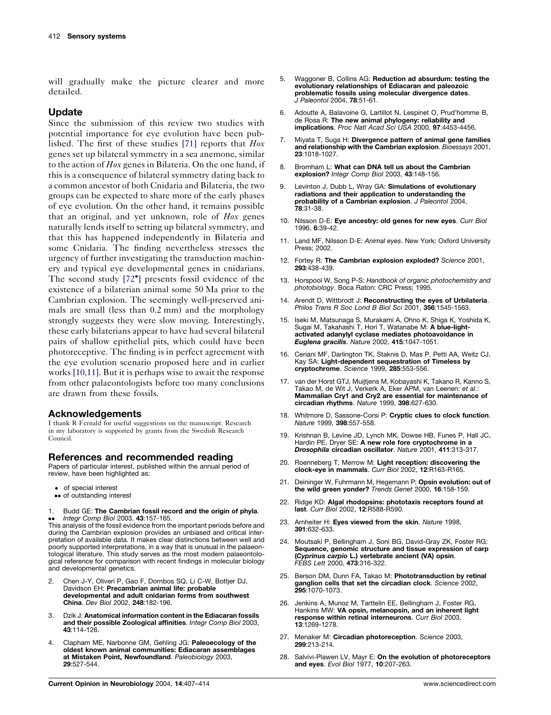<span id="page-5-0"></span>will gradually make the picture clearer and more detailed.

# Update

Since the submission of this review two studies with potential importance for eye evolution have been published. The first of these studies [\[71\]](#page-7-0) reports that Hox genes set up bilateral symmetry in a sea anemone, similar to the action of  $H\text{o}x$  genes in Bilateria. On the one hand, if this is a consequence of bilateral symmetry dating back to a common ancestor of both Cnidaria and Bilateria, the two groups can be expected to share more of the early phases of eye evolution. On the other hand, it remains possible that an original, and yet unknown, role of Hox genes naturally lends itself to setting up bilateral symmetry, and that this has happened independently in Bilateria and some Cnidaria. The finding nevertheless stresses the urgency of further investigating the transduction machinery and typical eye developmental genes in cnidarians. The second study [\[72](#page-7-0) [\]](#page-7-0) presents fossil evidence of the existence of a bilaterian animal some 50 Ma prior to the Cambrian explosion. The seemingly well-preserved animals are small (less than 0.2 mm) and the morphology strongly suggests they were slow moving. Interestingly, these early bilaterians appear to have had several bilateral pairs of shallow epithelial pits, which could have been photoreceptive. The finding is in perfect agreement with the eye evolution scenario proposed here and in earlier works [10,11]. But it is perhaps wise to await the response from other palaeontologists before too many conclusions are drawn from these fossils.

#### Acknowledgements

I thank R Fernald for useful suggestions on the manuscript. Research in my laboratory is supported by grants from the Swedish Research Council.

#### References and recommended reading

Papers of particular interest, published within the annual period of review, have been highlighted as:

- of special interest
- •• of outstanding interest

#### 1. .. Budd GE: The Cambrian fossil record and the origin of phyla. Integr Comp Biol 2003, 43:157-165.

This analysis of the fossil evidence from the important periods before and during the Cambrian explosion provides an unbiased and critical interpretation of available data. It makes clear distinctions between well and poorly supported interpretations, in a way that is unusual in the palaeontological literature. This study serves as the most modern palaeontological reference for comparison with recent findings in molecular biology and developmental genetics.

- 2. Chen J-Y, Oliveri P, Gao F, Dornbos SQ, Li C-W, Bottjer DJ, Davidson EH: Precambrian animal life: probable developmental and adult cnidarian forms from southwest China. Dev Biol 2002, 248:182-196.
- 3. Dzik J: Anatomical information content in the Ediacaran fossils and their possible Zoological affinities. Integr Comp Biol 2003, 43:114-126.
- 4. Clapham ME, Narbonne GM, Gehling JG: Paleoecology of the oldest known animal communities: Ediacaran assemblages at Mistaken Point, Newfoundland. Paleobiology 2003, 29:527-544.
- Waggoner B, Collins AG: Reduction ad absurdum: testing the evolutionary relationships of Ediacaran and paleozoic problematic fossils using molecular divergence dates. J Paleontol 2004, 78:51-61.
- 6. Adoutte A, Balavoine G, Lartillot N, Lespinet O, Prud'homme B, de Rosa R: The new animal phylogeny: reliability and implications. Proc Natl Acad Sci USA 2000, 97:4453-4456.
- 7. Miyata T, Suga H: Divergence pattern of animal gene families and relationship with the Cambrian explosion. Bioessays 2001, 23:1018-1027.
- 8. Bromham L: What can DNA tell us about the Cambrian explosion? Integr Comp Biol 2003, 43:148-156.
- 9. Levinton J, Dubb L, Wray GA: Simulations of evolutionary radiations and their application to understanding the probability of a Cambrian explosion. J Paleontol 2004, 78:31-38.
- 10. Nilsson D-E: Eye ancestry: old genes for new eyes. Curr Biol 1996, 6:39-42.
- 11. Land MF, Nilsson D-E: Animal eyes. New York: Oxford University Press; 2002.
- 12. Fortey R: The Cambrian explosion exploded? Science 2001, 293:438-439.
- 13. Horspool W, Song P-S: Handbook of organic photochemistry and photobiology. Boca Raton: CRC Press; 1995.
- 14. Arendt D, Wittbrodt J: Reconstructing the eyes of Urbilateria. Philos Trans R Soc Lond B Biol Sci 2001, 356:1545-1563.
- 15. Iseki M, Matsunaga S, Murakami A, Ohno K, Shiga K, Yoshida K, Sugai M, Takahashi T, Hori T, Watanabe M: A blue-lightactivated adanylyl cyclase mediates photoavoidance in Euglena gracilis. Nature 2002, 415:1047-1051.
- 16. Ceriani MF, Darlington TK, Staknis D, Mas P, Petti AA, Weitz CJ, Kay SA: Light-dependent sequestration of Timeless by cryptochrome. Science 1999, 285:553-556.
- 17. van der Horst GTJ, Muijtjens M, Kobayashi K, Takano R, Kanno S, Takao M, de Wit J, Verkerk A, Eker APM, van Leenen: et al.: Mammalian Cry1 and Cry2 are essential for maintenance of circadian rhythms. Nature 1999, 398:627-630.
- 18. Whitmore D, Sassone-Corsi P: Cryptic clues to clock function. Nature 1999, 398:557-558.
- 19. Krishnan B, Levine JD, Lynch MK, Dowse HB, Funes P, Hall JC, Hardin PE, Dryer SE: A new role fore cryptochrome in a Drosophila circadian oscillator. Nature 2001, 411:313-317.
- 20. Roenneberg T, Merrow M: Light reception: discovering the clock-eye in mammals. Curr Biol 2002, 12:R163-R165.
- 21. Deininger W, Fuhrmann M, Hegemann P: Opsin evolution: out of the wild green yonder? Trends Genet 2000, 16:158-159.
- 22. Ridge KD: Algal rhodopsins: phototaxis receptors found at last. Curr Biol 2002, 12:R588-R590.
- 23. Arnheiter H: Eyes viewed from the skin. Nature 1998, 391:632-633.
- 24. Moutsaki P, Bellingham J, Soni BG, David-Gray ZK, Foster RG: Sequence, genomic structure and tissue expression of carp (Cyprinus carpio L.) vertebrate ancient (VA) opsin. FEBS Lett 2000, 473:316-322.
- 25. Berson DM, Dunn FA, Takao M: Phototransduction by retinal ganglion cells that set the circadian clock. Science 2002, 295:1070-1073.
- 26. Jenkins A, Munoz M, Tarttelin EE, Bellingham J, Foster RG, Hankins MW: VA opsin, melanopsin, and an inherent light response within retinal interneurons. Curr Biol 2003, 13:1269-1278.
- 27. Menaker M: Circadian photoreception. Science 2003, 299:213-214.
- 28. Salvivi-Plawen LV, Mayr E: On the evolution of photoreceptors and eyes. Evol Biol 1977, 10:207-263.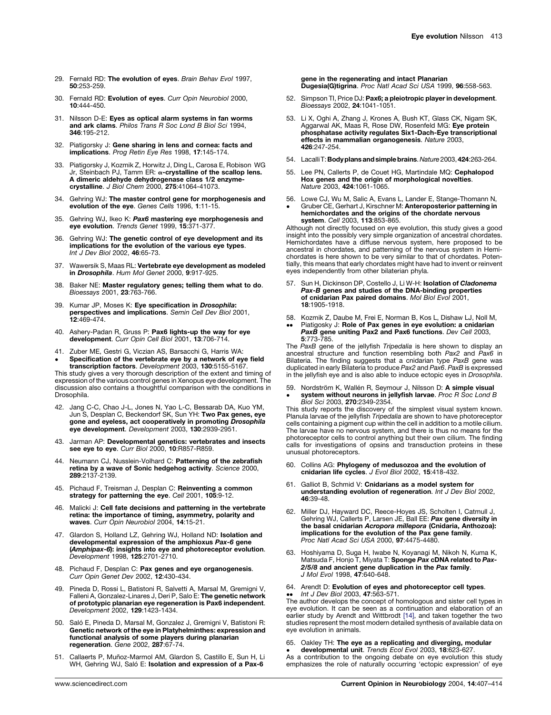- <span id="page-6-0"></span>29. Fernald RD: The evolution of eyes. Brain Behav Evol 1997, 50:253-259.
- 30. Fernald RD: Evolution of eyes. Curr Opin Neurobiol 2000, 10:444-450.
- 31. Nilsson D-E: Eyes as optical alarm systems in fan worms and ark clams. Philos Trans R Soc Lond B Biol Sci 1994, 346:195-212.
- 32. Piatigorsky J: Gene sharing in lens and cornea: facts and implications. Prog Retin Eye Res 1998, 17:145-174.
- 33. Piatigorsky J, Kozmik Z, Horwitz J, Ding L, Carosa E, Robison WG Jr, Steinbach PJ, Tamm ER:  $\alpha$ -crystalline of the scallop lens. A dimeric aldehyde dehydrogenase class 1/2 enzymecrystalline. J Biol Chem 2000, 275:41064-41073.
- 34. Gehring WJ: The master control gene for morphogenesis and evolution of the eye. Genes Cells 1996, 1:11-15.
- 35. Gehring WJ, Ikeo K: Pax6 mastering eye morphogenesis and eye evolution. Trends Genet 1999, 15:371-377.
- 36. Gehring WJ: The genetic control of eye development and its implications for the evolution of the various eye types. Int J Dev Biol 2002, 46:65-73.
- 37. Wawersik S, Maas RL: Vertebrate eye development as modeled in Drosophila. Hum Mol Genet 2000, 9:917-925.
- 38. Baker NE: Master regulatory genes; telling them what to do. Bioessays 2001, 23:763-766.
- 39. Kumar JP, Moses K: Eye specification in Drosophila: perspectives and implications. Semin Cell Dev Biol 2001, 12:469-474.
- 40. Ashery-Padan R, Gruss P: Pax6 lights-up the way for eye development. Curr Opin Cell Biol 2001, 13:706-714.
- 41. Zuber ME, Gestri G, Viczian AS, Barsacchi G, Harris WA:

 $\bullet$ Specification of the vertebrate eye by a network of eye field transcription factors. Development 2003, 130:5155-5167.

This study gives a very thorough description of the extent and timing of expression of the various control genes in Xenopus eye development. The discussion also contains a thoughtful comparison with the conditions in Drosophila.

- 42. Jang C-C, Chao J-L, Jones N, Yao L-C, Bessarab DA, Kuo YM, Jun S, Desplan C, Beckendorf SK, Sun YH: Two Pax genes, eye gone and eyeless, act cooperatively in promoting Drosophila eye development. Development 2003, 130:2939-2951.
- 43. Jarman AP: Developmental genetics: vertebrates and insects see eye to eye. Curr Biol 2000, 10:R857-R859.
- 44. Neumann CJ, Nusslein-Volhard C: Patterning of the zebrafish retina by a wave of Sonic hedgehog activity. Science 2000, 289:2137-2139.
- 45. Pichaud F, Treisman J, Desplan C: Reinventing a common strategy for patterning the eye. Cell 2001, 105:9-12.
- 46. Malicki J: Cell fate decisions and patterning in the vertebrate retina: the importance of timing, asymmetry, polarity and<br>waves. *Curr Opin Neurobiol* 2004, 14:15-21.
- 47. Glardon S, Holland LZ, Gehring WJ, Holland ND: Isolation and developmental expression of the amphioxus Pax-6 gene (Amphipax-6): insights into eye and photoreceptor evolution. Development 1998, 125:2701-2710.
- 48. Pichaud F, Desplan C: Pax genes and eye organogenesis. Curr Opin Genet Dev 2002, 12:430-434.
- 49. Pineda D, Rossi L, Batistoni R, Salvetti A, Marsal M, Gremigni V, Falleni A, Gonzalez-Linares J, Deri P, Salo E: The genetic network of prototypic planarian eye regeneration is Pax6 independent. Development 2002, 129:1423-1434.
- 50. Saló E, Pineda D, Marsal M, Gonzalez J, Gremigni V, Batistoni R: Genetic network of the eye in Platyhelminthes: expression and functional analysis of some players during planarian regeneration. Gene 2002, 287:67-74.
- 51. Callaerts P, Muñoz-Marmol AM, Glardon S, Castillo E, Sun H, Li WH, Gehring WJ, Saló E: Isolation and expression of a Pax-6

gene in the regenerating and intact Planarian Dugesia(G)tigrina. Proc Natl Acad Sci USA 1999, 96:558-563.

- 52. Simpson TI, Price DJ: Pax6; a pleiotropic player in development. Bioessays 2002, 24:1041-1051.
- 53. Li X, Oghi A, Zhang J, Krones A, Bush KT, Glass CK, Nigam SK,<br>Aggarwal AK, Maas R, Rose DW, Rosenfeld MG: **Eye protein** phosphatase activity regulates Six1-Dach-Eye transcriptional effects in mammalian organogenesis. Nature 2003, 426:247-254.
- 54. Lacalli T: Body plans and simple brains. Nature 2003, 424:263-264.
- 55. Lee PN, Callerts P, de Couet HG, Martindale MQ: Cephalopod Hox genes and the origin of morphological novelties. Nature 2003, 424:1061-1065.
- 56. Lowe CJ, Wu M, Salic A, Evans L, Lander E, Stange-Thomann N,
- $\bullet$ Gruber CE, Gerhart J, Kirschner M: Anteroposterior patterning in hemichordates and the origins of the chordate nervous system. Cell 2003, 113:853-865.

Although not directly focused on eye evolution, this study gives a good insight into the possibly very simple organization of ancestral chordates. Hemichordates have a diffuse nervous system, here proposed to be ancestral in chordates, and patterning of the nervous system in Hemichordates is here shown to be very similar to that of chordates. Potentially, this means that early chordates might have had to invent or reinvent eyes independently from other bilaterian phyla.

- Sun H, Dickinson DP, Costello J, Li W-H: Isolation of Cladonema Pax-B genes and studies of the DNA-binding properties of cnidarian Pax paired domains. Mol Biol Evol 2001, 18:1905-1918.
- 58. Kozmik Z, Daube M, Frei E, Norman B, Kos L, Dishaw LJ, Noll M,
- $\bullet \bullet$ Piatigosky J: Role of Pax genes in eye evolution: a cnidarian PaxB gene uniting Pax2 and Pax6 functions. Dev Cell 2003, 5:773-785.

The PaxB gene of the jellyfish Tripedalia is here shown to display an ancestral structure and function resembling both Pax2 and Pax6 in Bilateria. The finding suggests that a cnidarian type *PaxB* gene was<br>duplicated in early Bilateria to produce *Pax2* and *Pax6. PaxB* is expressed in the jellyfish eye and is also able to induce ectopic eyes in Drosophila.

59.  $\bullet$ Nordström K, Wallén R, Seymour J, Nilsson D: A simple visual system without neurons in jellyfish larvae. Proc R Soc Lond B Biol Sci 2003, 270:2349-2354.

This study reports the discovery of the simplest visual system known. Planula larvae of the jellyfish Tripedalia are shown to have photoreceptor cells containing a pigment cup within the cell in addition to a motile cilium. The larvae have no nervous system, and there is thus no means for the photoreceptor cells to control anything but their own cilium. The finding calls for investigations of opsins and transduction proteins in these unusual photoreceptors.

- 60. Collins AG: Phylogeny of medusozoa and the evolution of cnidarian life cycles. J Evol Biol 2002, 15:418-432.
- 61. Galliot B, Schmid V: Cnidarians as a model system for understanding evolution of regeneration. Int J Dev Biol 2002, 46:39-48.
- 62. Miller DJ, Hayward DC, Reece-Hoyes JS, Scholten I, Catmull J, Gehring WJ, Callerts P, Larsen JE, Ball EE: Pax gene diversity in the basal cnidarian Acropora millepora (Cnidaria, Anthozoa): implications for the evolution of the Pax gene family. Proc Natl Acad Sci USA 2000, 97:4475-4480.
- 63. Hoshiyama D, Suga H, Iwabe N, Koyanagi M, Nikoh N, Kuma K, Matsuda F, Honjo T, Miyata T: Sponge Pax cDNA related to Pax-2/5/8 and ancient gene duplication in the Pax family. J Mol Evol 1998, 47:640-648.

#### 64. Arendt D: Evolution of eyes and photoreceptor cell types. Int J Dev Biol 2003, 47:563-571.

•• *Int J Dev Biol 2*003, **47**:563-571.<br>The author develops the concept of homologous and sister cell types in eye evolution. It can be seen as a continuation and elaboration of an earlier study by Arendt and Wittbrodt [\[14\]](#page-5-0), and taken together the two studies represent the most modern detailed synthesis of available data on eye evolution in animals.

65. Oakley TH: The eye as a replicating and diverging, modular

**• developmental unit**. Trends Ecol Evol 2003, 18:623-627.<br>As a contribution to the ongoing debate on eye evolution this study developmental unit. Trends Ecol Evol 2003, 18:623-627. emphasizes the role of naturally occurring 'ectopic expression' of eye